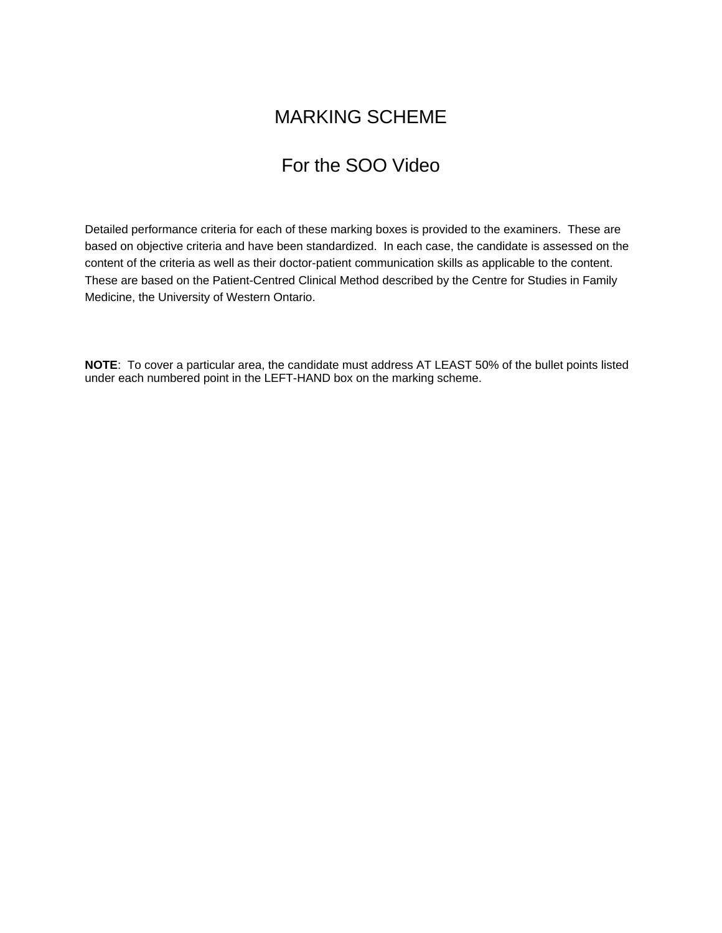# MARKING SCHEME

# For the SOO Video

Detailed performance criteria for each of these marking boxes is provided to the examiners. These are based on objective criteria and have been standardized. In each case, the candidate is assessed on the content of the criteria as well as their doctor-patient communication skills as applicable to the content. These are based on the Patient-Centred Clinical Method described by the Centre for Studies in Family Medicine, the University of Western Ontario.

**NOTE**: To cover a particular area, the candidate must address AT LEAST 50% of the bullet points listed under each numbered point in the LEFT-HAND box on the marking scheme.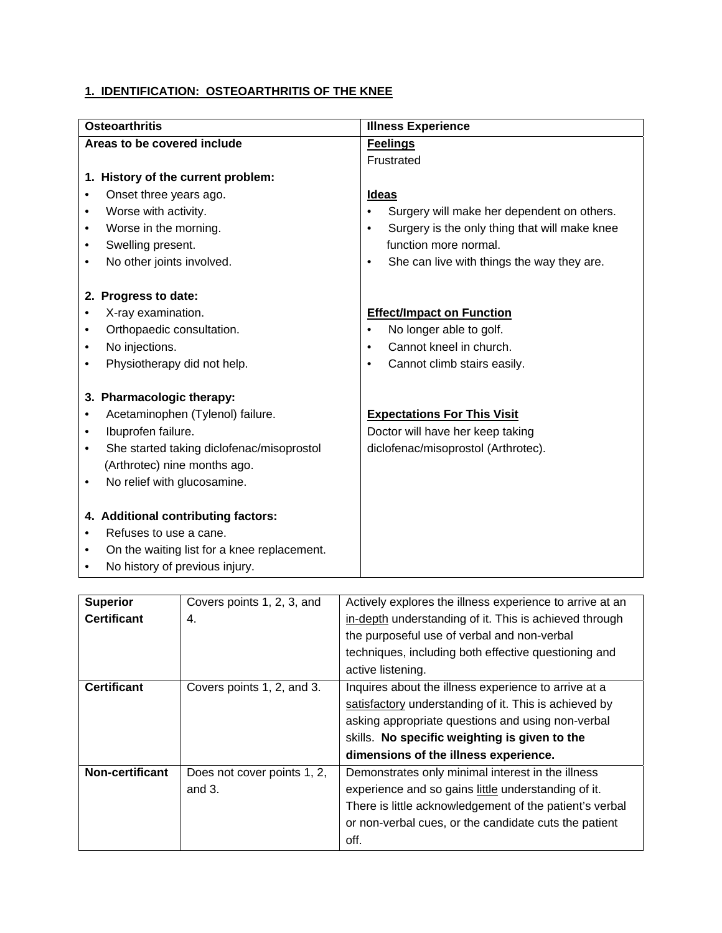### **1. IDENTIFICATION: OSTEOARTHRITIS OF THE KNEE**

| <b>Osteoarthritis</b>                          | <b>Illness Experience</b>                                  |  |
|------------------------------------------------|------------------------------------------------------------|--|
| Areas to be covered include                    | <b>Feelings</b>                                            |  |
|                                                | Frustrated                                                 |  |
| 1. History of the current problem:             |                                                            |  |
| Onset three years ago.                         | <b>Ideas</b>                                               |  |
| Worse with activity.<br>٠                      | Surgery will make her dependent on others.<br>$\bullet$    |  |
| Worse in the morning.<br>٠                     | Surgery is the only thing that will make knee<br>$\bullet$ |  |
| Swelling present.<br>٠                         | function more normal.                                      |  |
| No other joints involved.<br>$\bullet$         | She can live with things the way they are.<br>$\bullet$    |  |
|                                                |                                                            |  |
| 2. Progress to date:                           |                                                            |  |
| X-ray examination.<br>٠                        | <b>Effect/Impact on Function</b>                           |  |
| Orthopaedic consultation.<br>٠                 | No longer able to golf.<br>$\bullet$                       |  |
| No injections.<br>٠                            | Cannot kneel in church.<br>$\bullet$                       |  |
| Physiotherapy did not help.<br>$\bullet$       | Cannot climb stairs easily.<br>$\bullet$                   |  |
|                                                |                                                            |  |
| 3. Pharmacologic therapy:                      |                                                            |  |
| Acetaminophen (Tylenol) failure.<br>٠          | <b>Expectations For This Visit</b>                         |  |
| Ibuprofen failure.<br>$\bullet$                | Doctor will have her keep taking                           |  |
| She started taking diclofenac/misoprostol<br>٠ | diclofenac/misoprostol (Arthrotec).                        |  |
| (Arthrotec) nine months ago.                   |                                                            |  |
| No relief with glucosamine.<br>٠               |                                                            |  |
|                                                |                                                            |  |
| 4. Additional contributing factors:            |                                                            |  |
| Refuses to use a cane.<br>$\bullet$            |                                                            |  |
| On the waiting list for a knee replacement.    |                                                            |  |
| No history of previous injury.                 |                                                            |  |

| <b>Superior</b>    | Covers points 1, 2, 3, and  | Actively explores the illness experience to arrive at an |
|--------------------|-----------------------------|----------------------------------------------------------|
| <b>Certificant</b> | 4.                          | in-depth understanding of it. This is achieved through   |
|                    |                             | the purposeful use of verbal and non-verbal              |
|                    |                             | techniques, including both effective questioning and     |
|                    |                             | active listening.                                        |
| <b>Certificant</b> | Covers points 1, 2, and 3.  | Inquires about the illness experience to arrive at a     |
|                    |                             | satisfactory understanding of it. This is achieved by    |
|                    |                             | asking appropriate questions and using non-verbal        |
|                    |                             | skills. No specific weighting is given to the            |
|                    |                             | dimensions of the illness experience.                    |
| Non-certificant    | Does not cover points 1, 2, | Demonstrates only minimal interest in the illness        |
|                    | and $3.$                    | experience and so gains little understanding of it.      |
|                    |                             | There is little acknowledgement of the patient's verbal  |
|                    |                             | or non-verbal cues, or the candidate cuts the patient    |
|                    |                             | off.                                                     |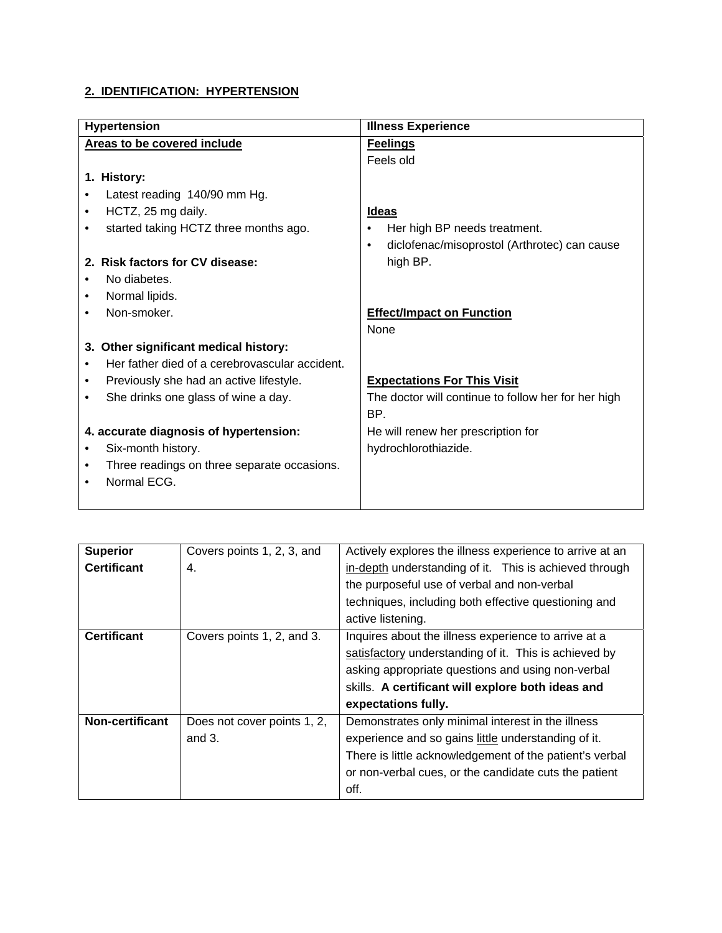#### **2. IDENTIFICATION: HYPERTENSION**

| <b>Hypertension</b>                                      | <b>Illness Experience</b>                                 |  |
|----------------------------------------------------------|-----------------------------------------------------------|--|
| Areas to be covered include                              | <b>Feelings</b>                                           |  |
|                                                          | Feels old                                                 |  |
| 1. History:                                              |                                                           |  |
| Latest reading 140/90 mm Hg.                             |                                                           |  |
| HCTZ, 25 mg daily.<br>٠                                  | <b>Ideas</b>                                              |  |
| started taking HCTZ three months ago.                    | Her high BP needs treatment.                              |  |
|                                                          | diclofenac/misoprostol (Arthrotec) can cause<br>$\bullet$ |  |
| 2. Risk factors for CV disease:                          | high BP.                                                  |  |
| No diabetes.                                             |                                                           |  |
| Normal lipids.<br>٠                                      |                                                           |  |
| Non-smoker.<br>$\bullet$                                 | <b>Effect/Impact on Function</b>                          |  |
|                                                          | <b>None</b>                                               |  |
| 3. Other significant medical history:                    |                                                           |  |
| Her father died of a cerebrovascular accident.           |                                                           |  |
| Previously she had an active lifestyle.<br>٠             | <b>Expectations For This Visit</b>                        |  |
| She drinks one glass of wine a day.<br>$\bullet$         | The doctor will continue to follow her for her high       |  |
|                                                          | BP.                                                       |  |
| 4. accurate diagnosis of hypertension:                   | He will renew her prescription for                        |  |
| Six-month history.                                       | hydrochlorothiazide.                                      |  |
| Three readings on three separate occasions.<br>$\bullet$ |                                                           |  |
| Normal ECG.                                              |                                                           |  |
|                                                          |                                                           |  |

| <b>Superior</b>    | Covers points 1, 2, 3, and  | Actively explores the illness experience to arrive at an |
|--------------------|-----------------------------|----------------------------------------------------------|
| <b>Certificant</b> | 4.                          | in-depth understanding of it. This is achieved through   |
|                    |                             | the purposeful use of verbal and non-verbal              |
|                    |                             | techniques, including both effective questioning and     |
|                    |                             | active listening.                                        |
| <b>Certificant</b> | Covers points 1, 2, and 3.  | Inquires about the illness experience to arrive at a     |
|                    |                             | satisfactory understanding of it. This is achieved by    |
|                    |                             | asking appropriate questions and using non-verbal        |
|                    |                             | skills. A certificant will explore both ideas and        |
|                    |                             | expectations fully.                                      |
| Non-certificant    | Does not cover points 1, 2, | Demonstrates only minimal interest in the illness        |
|                    | and $3$ .                   | experience and so gains little understanding of it.      |
|                    |                             | There is little acknowledgement of the patient's verbal  |
|                    |                             | or non-verbal cues, or the candidate cuts the patient    |
|                    |                             | off.                                                     |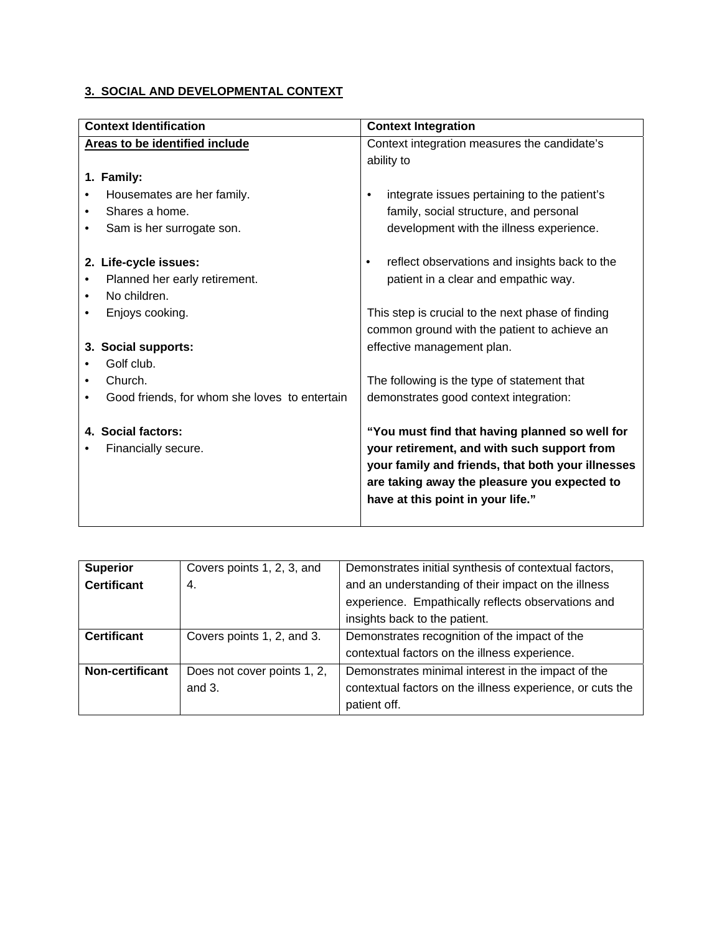#### **3. SOCIAL AND DEVELOPMENTAL CONTEXT**

| <b>Context Identification</b>                 | <b>Context Integration</b>                                 |
|-----------------------------------------------|------------------------------------------------------------|
| Areas to be identified include                | Context integration measures the candidate's               |
|                                               | ability to                                                 |
| 1. Family:                                    |                                                            |
| Housemates are her family.                    | integrate issues pertaining to the patient's<br>٠          |
| Shares a home.<br>$\bullet$                   | family, social structure, and personal                     |
| Sam is her surrogate son.<br>٠                | development with the illness experience.                   |
| 2. Life-cycle issues:                         | reflect observations and insights back to the<br>$\bullet$ |
| Planned her early retirement.                 | patient in a clear and empathic way.                       |
| No children.<br>$\bullet$                     |                                                            |
| Enjoys cooking.                               | This step is crucial to the next phase of finding          |
|                                               | common ground with the patient to achieve an               |
| 3. Social supports:                           | effective management plan.                                 |
| Golf club.                                    |                                                            |
| Church.                                       | The following is the type of statement that                |
| Good friends, for whom she loves to entertain | demonstrates good context integration:                     |
| 4. Social factors:                            | "You must find that having planned so well for             |
| Financially secure.                           | your retirement, and with such support from                |
|                                               | your family and friends, that both your illnesses          |
|                                               | are taking away the pleasure you expected to               |
|                                               | have at this point in your life."                          |
|                                               |                                                            |

| <b>Superior</b>    | Covers points 1, 2, 3, and  | Demonstrates initial synthesis of contextual factors,     |
|--------------------|-----------------------------|-----------------------------------------------------------|
| <b>Certificant</b> | -4.                         | and an understanding of their impact on the illness       |
|                    |                             | experience. Empathically reflects observations and        |
|                    |                             | insights back to the patient.                             |
| <b>Certificant</b> | Covers points 1, 2, and 3.  | Demonstrates recognition of the impact of the             |
|                    |                             | contextual factors on the illness experience.             |
| Non-certificant    | Does not cover points 1, 2, | Demonstrates minimal interest in the impact of the        |
|                    | and $3$ .                   | contextual factors on the illness experience, or cuts the |
|                    |                             | patient off.                                              |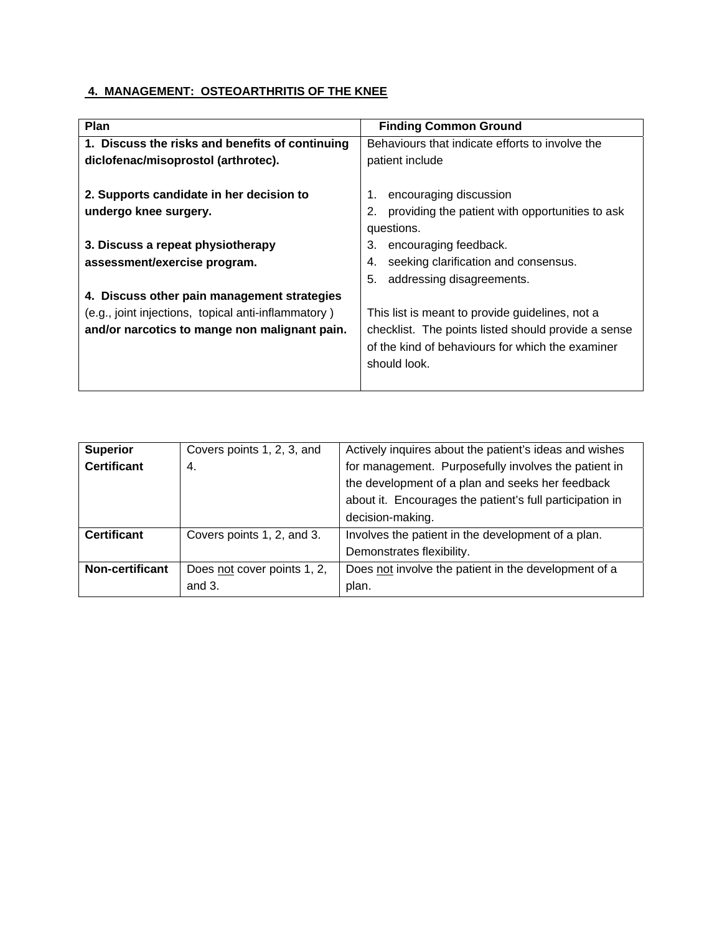#### **4. MANAGEMENT: OSTEOARTHRITIS OF THE KNEE**

| <b>Plan</b>                                                                                                                                         | <b>Finding Common Ground</b>                                                                                                                                               |
|-----------------------------------------------------------------------------------------------------------------------------------------------------|----------------------------------------------------------------------------------------------------------------------------------------------------------------------------|
| 1. Discuss the risks and benefits of continuing                                                                                                     | Behaviours that indicate efforts to involve the                                                                                                                            |
| diclofenac/misoprostol (arthrotec).                                                                                                                 | patient include                                                                                                                                                            |
| 2. Supports candidate in her decision to<br>undergo knee surgery.                                                                                   | encouraging discussion<br>providing the patient with opportunities to ask<br>2.<br>questions.                                                                              |
| 3. Discuss a repeat physiotherapy<br>assessment/exercise program.                                                                                   | 3.<br>encouraging feedback.<br>seeking clarification and consensus.<br>4.<br>addressing disagreements.<br>5.                                                               |
| 4. Discuss other pain management strategies<br>(e.g., joint injections, topical anti-inflammatory)<br>and/or narcotics to mange non malignant pain. | This list is meant to provide guidelines, not a<br>checklist. The points listed should provide a sense<br>of the kind of behaviours for which the examiner<br>should look. |

| <b>Superior</b>        | Covers points 1, 2, 3, and  | Actively inquires about the patient's ideas and wishes   |
|------------------------|-----------------------------|----------------------------------------------------------|
| <b>Certificant</b>     | 4.                          | for management. Purposefully involves the patient in     |
|                        |                             | the development of a plan and seeks her feedback         |
|                        |                             | about it. Encourages the patient's full participation in |
|                        |                             | decision-making.                                         |
| <b>Certificant</b>     | Covers points 1, 2, and 3.  | Involves the patient in the development of a plan.       |
|                        |                             | Demonstrates flexibility.                                |
| <b>Non-certificant</b> | Does not cover points 1, 2, | Does not involve the patient in the development of a     |
|                        | and $3.$                    | plan.                                                    |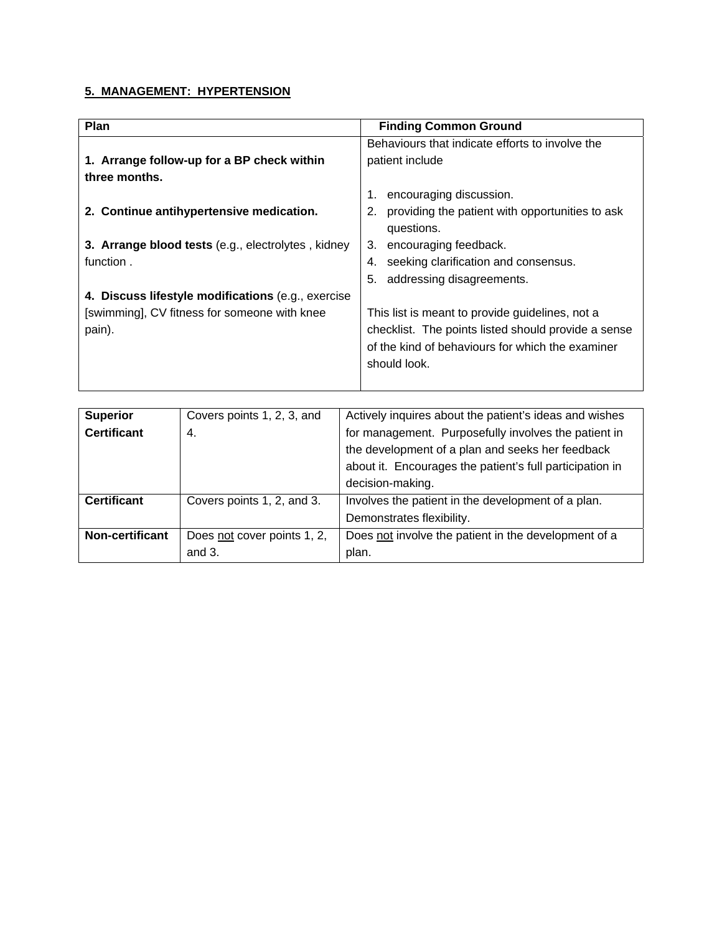#### **5. MANAGEMENT: HYPERTENSION**

| Plan                                               | <b>Finding Common Ground</b>                          |
|----------------------------------------------------|-------------------------------------------------------|
|                                                    | Behaviours that indicate efforts to involve the       |
| 1. Arrange follow-up for a BP check within         | patient include                                       |
| three months.                                      |                                                       |
|                                                    | 1.<br>encouraging discussion.                         |
| 2. Continue antihypertensive medication.           | providing the patient with opportunities to ask<br>2. |
|                                                    | questions.                                            |
| 3. Arrange blood tests (e.g., electrolytes, kidney | encouraging feedback.<br>3.                           |
| function.                                          | seeking clarification and consensus.<br>4.            |
|                                                    | addressing disagreements.<br>5.                       |
| 4. Discuss lifestyle modifications (e.g., exercise |                                                       |
| [swimming], CV fitness for someone with knee       | This list is meant to provide guidelines, not a       |
| pain).                                             | checklist. The points listed should provide a sense   |
|                                                    | of the kind of behaviours for which the examiner      |
|                                                    | should look.                                          |
|                                                    |                                                       |

| <b>Superior</b>    | Covers points 1, 2, 3, and  | Actively inquires about the patient's ideas and wishes   |
|--------------------|-----------------------------|----------------------------------------------------------|
| <b>Certificant</b> | -4.                         | for management. Purposefully involves the patient in     |
|                    |                             | the development of a plan and seeks her feedback         |
|                    |                             | about it. Encourages the patient's full participation in |
|                    |                             | decision-making.                                         |
| <b>Certificant</b> | Covers points 1, 2, and 3.  | Involves the patient in the development of a plan.       |
|                    |                             | Demonstrates flexibility.                                |
| Non-certificant    | Does not cover points 1, 2, | Does not involve the patient in the development of a     |
|                    | and $3$ .                   | plan.                                                    |